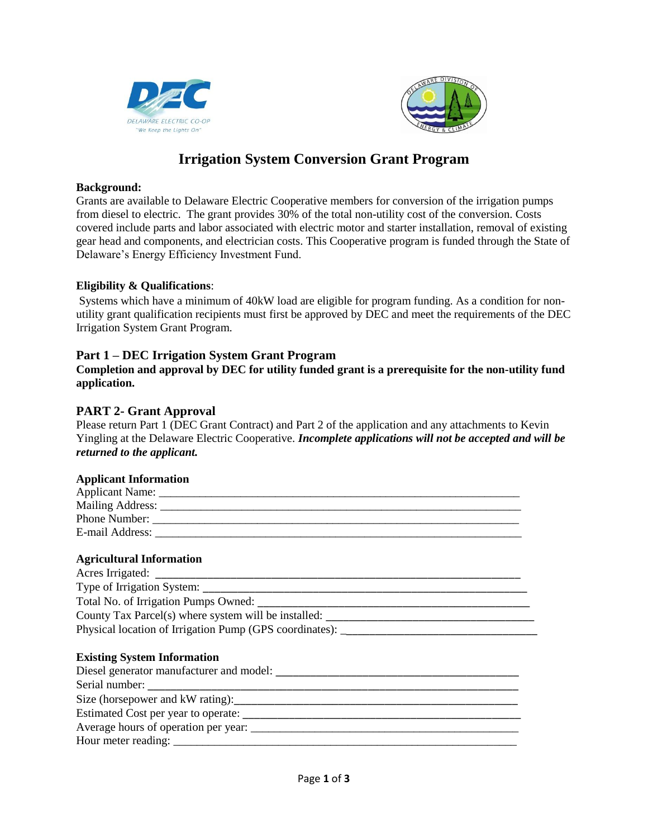



# **Irrigation System Conversion Grant Program**

#### **Background:**

Grants are available to Delaware Electric Cooperative members for conversion of the irrigation pumps from diesel to electric. The grant provides 30% of the total non-utility cost of the conversion. Costs covered include parts and labor associated with electric motor and starter installation, removal of existing gear head and components, and electrician costs. This Cooperative program is funded through the State of Delaware's Energy Efficiency Investment Fund.

#### **Eligibility & Qualifications**:

Systems which have a minimum of 40kW load are eligible for program funding. As a condition for nonutility grant qualification recipients must first be approved by DEC and meet the requirements of the DEC Irrigation System Grant Program.

## **Part 1 – DEC Irrigation System Grant Program**

**Completion and approval by DEC for utility funded grant is a prerequisite for the non-utility fund application.**

## **PART 2- Grant Approval**

Please return Part 1 (DEC Grant Contract) and Part 2 of the application and any attachments to Kevin Yingling at the Delaware Electric Cooperative. *Incomplete applications will not be accepted and will be returned to the applicant.*

#### **Applicant Information**

| Applicant Name:  |  |
|------------------|--|
| Mailing Address: |  |
| Phone Number:    |  |
| E-mail Address:  |  |

#### **Agricultural Information**

| Acres Irrigated:                                          |  |
|-----------------------------------------------------------|--|
| Type of Irrigation System:                                |  |
| Total No. of Irrigation Pumps Owned:                      |  |
| County Tax Parcel(s) where system will be installed:      |  |
| Physical location of Irrigation Pump (GPS coordinates): _ |  |
|                                                           |  |

#### **Existing System Information**

| Diesel generator manufacturer and model: |  |
|------------------------------------------|--|
|                                          |  |
| Size (horsepower and kW rating):         |  |
| Estimated Cost per year to operate:      |  |
| Average hours of operation per year:     |  |
| Hour meter reading:                      |  |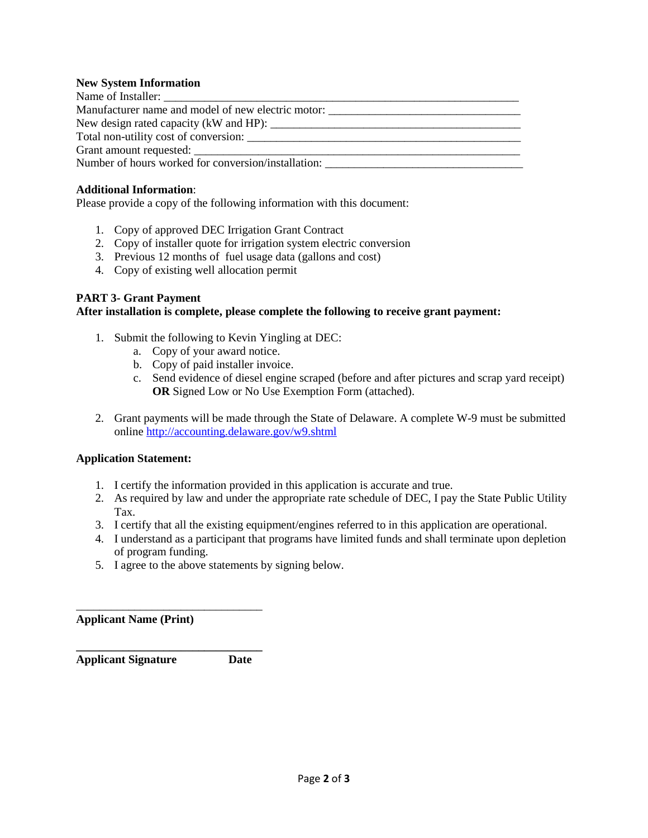#### **New System Information**

| Manufacturer name and model of new electric motor:  |  |
|-----------------------------------------------------|--|
|                                                     |  |
|                                                     |  |
|                                                     |  |
| Number of hours worked for conversion/installation: |  |
|                                                     |  |

#### **Additional Information**:

Please provide a copy of the following information with this document:

- 1. Copy of approved DEC Irrigation Grant Contract
- 2. Copy of installer quote for irrigation system electric conversion
- 3. Previous 12 months of fuel usage data (gallons and cost)
- 4. Copy of existing well allocation permit

#### **PART 3- Grant Payment**

#### **After installation is complete, please complete the following to receive grant payment:**

- 1. Submit the following to Kevin Yingling at DEC:
	- a. Copy of your award notice.
	- b. Copy of paid installer invoice.
	- c. Send evidence of diesel engine scraped (before and after pictures and scrap yard receipt) **OR** Signed Low or No Use Exemption Form (attached).
- 2. Grant payments will be made through the State of Delaware. A complete W-9 must be submitted online<http://accounting.delaware.gov/w9.shtml>

#### **Application Statement:**

- 1. I certify the information provided in this application is accurate and true.
- 2. As required by law and under the appropriate rate schedule of DEC, I pay the State Public Utility Tax.
- 3. I certify that all the existing equipment/engines referred to in this application are operational.
- 4. I understand as a participant that programs have limited funds and shall terminate upon depletion of program funding.
- 5. I agree to the above statements by signing below.

**Applicant Name (Print)** 

**Applicant Signature Date**

\_\_\_\_\_\_\_\_\_\_\_\_\_\_\_\_\_\_\_\_\_\_\_\_\_\_\_\_\_\_\_\_

**\_\_\_\_\_\_\_\_\_\_\_\_\_\_\_\_\_\_\_\_\_\_\_\_\_\_\_\_\_\_\_\_**